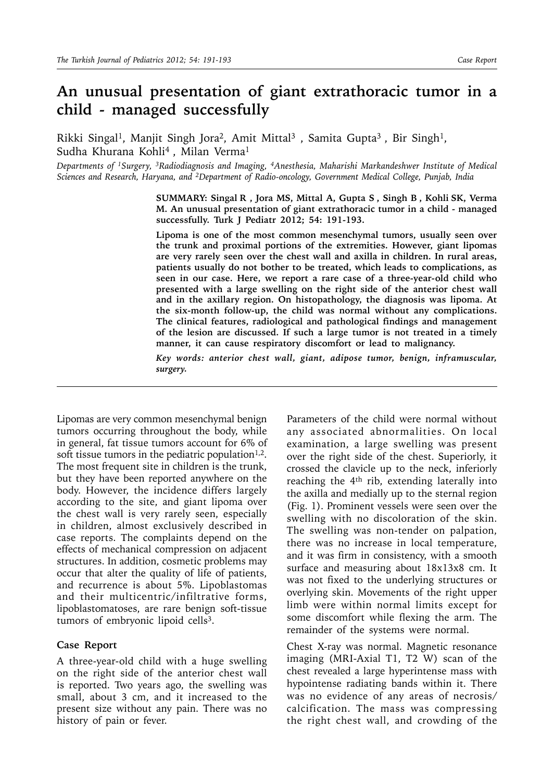# **An unusual presentation of giant extrathoracic tumor in a child - managed successfully**

Rikki Singal<sup>1</sup>, Manjit Singh Jora<sup>2</sup>, Amit Mittal<sup>3</sup>, Samita Gupta<sup>3</sup>, Bir Singh<sup>1</sup>, Sudha Khurana Kohli<sup>4</sup>, Milan Verma<sup>1</sup>

*Departments of 1Surgery, 3Radiodiagnosis and Imaging, 4Anesthesia, Maharishi Markandeshwer Institute of Medical Sciences and Research, Haryana, and 2Department of Radio-oncology, Government Medical College, Punjab, India* 

> **SUMMARY: Singal R , Jora MS, Mittal A, Gupta S , Singh B , Kohli SK, Verma M. An unusual presentation of giant extrathoracic tumor in a child - managed successfully. Turk J Pediatr 2012; 54: 191-193.**

> **Lipoma is one of the most common mesenchymal tumors, usually seen over the trunk and proximal portions of the extremities. However, giant lipomas are very rarely seen over the chest wall and axilla in children. In rural areas, patients usually do not bother to be treated, which leads to complications, as seen in our case. Here, we report a rare case of a three-year-old child who presented with a large swelling on the right side of the anterior chest wall and in the axillary region. On histopathology, the diagnosis was lipoma. At the six-month follow-up, the child was normal without any complications. The clinical features, radiological and pathological findings and management of the lesion are discussed. If such a large tumor is not treated in a timely manner, it can cause respiratory discomfort or lead to malignancy.**

> *Key words: anterior chest wall, giant, adipose tumor, benign, inframuscular, surgery.*

Lipomas are very common mesenchymal benign tumors occurring throughout the body, while in general, fat tissue tumors account for 6% of soft tissue tumors in the pediatric population<sup>1,2</sup>. The most frequent site in children is the trunk, but they have been reported anywhere on the body. However, the incidence differs largely according to the site, and giant lipoma over the chest wall is very rarely seen, especially in children, almost exclusively described in case reports. The complaints depend on the effects of mechanical compression on adjacent structures. In addition, cosmetic problems may occur that alter the quality of life of patients, and recurrence is about 5%. Lipoblastomas and their multicentric/infiltrative forms, lipoblastomatoses, are rare benign soft-tissue tumors of embryonic lipoid cells<sup>3</sup>.

## **Case Report**

A three-year-old child with a huge swelling on the right side of the anterior chest wall is reported. Two years ago, the swelling was small, about 3 cm, and it increased to the present size without any pain. There was no history of pain or fever.

Parameters of the child were normal without any associated abnormalities. On local examination, a large swelling was present over the right side of the chest. Superiorly, it crossed the clavicle up to the neck, inferiorly reaching the  $4<sup>th</sup>$  rib, extending laterally into the axilla and medially up to the sternal region (Fig. 1). Prominent vessels were seen over the swelling with no discoloration of the skin. The swelling was non-tender on palpation, there was no increase in local temperature, and it was firm in consistency, with a smooth surface and measuring about 18x13x8 cm. It was not fixed to the underlying structures or overlying skin. Movements of the right upper limb were within normal limits except for some discomfort while flexing the arm. The remainder of the systems were normal.

Chest X-ray was normal. Magnetic resonance imaging (MRI-Axial T1, T2 W) scan of the chest revealed a large hyperintense mass with hypointense radiating bands within it. There was no evidence of any areas of necrosis/ calcification. The mass was compressing the right chest wall, and crowding of the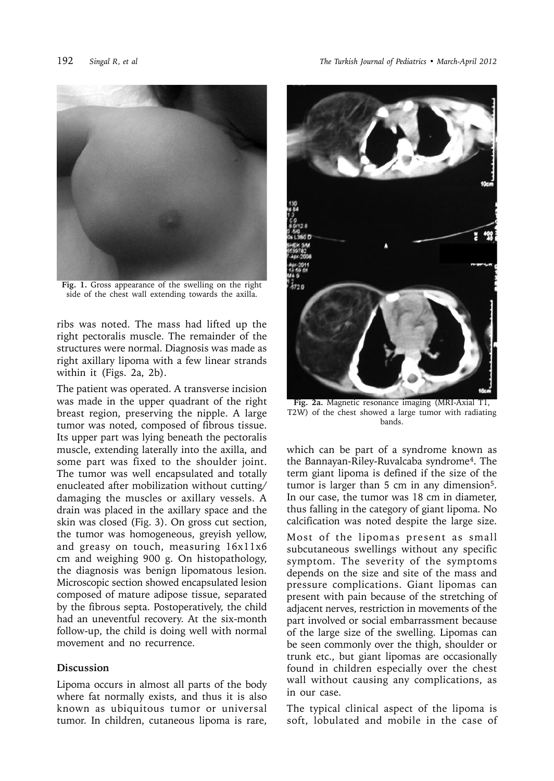

**Fig. 1.** Gross appearance of the swelling on the right side of the chest wall extending towards the axilla.

ribs was noted. The mass had lifted up the right pectoralis muscle. The remainder of the structures were normal. Diagnosis was made as right axillary lipoma with a few linear strands within it (Figs. 2a, 2b).

The patient was operated. A transverse incision was made in the upper quadrant of the right breast region, preserving the nipple. A large tumor was noted, composed of fibrous tissue. Its upper part was lying beneath the pectoralis muscle, extending laterally into the axilla, and some part was fixed to the shoulder joint. The tumor was well encapsulated and totally enucleated after mobilization without cutting/ damaging the muscles or axillary vessels. A drain was placed in the axillary space and the skin was closed (Fig. 3). On gross cut section, the tumor was homogeneous, greyish yellow, and greasy on touch, measuring 16x11x6 cm and weighing 900 g. On histopathology, the diagnosis was benign lipomatous lesion. Microscopic section showed encapsulated lesion composed of mature adipose tissue, separated by the fibrous septa. Postoperatively, the child had an uneventful recovery. At the six-month follow-up, the child is doing well with normal movement and no recurrence.

## **Discussion**

Lipoma occurs in almost all parts of the body where fat normally exists, and thus it is also known as ubiquitous tumor or universal tumor. In children, cutaneous lipoma is rare,



**Fig. 2a.** Magnetic resonance imaging (MRI-Axial T1, T2W) of the chest showed a large tumor with radiating bands.

which can be part of a syndrome known as the Bannayan-Riley-Ruvalcaba syndrome4. The term giant lipoma is defined if the size of the tumor is larger than 5 cm in any dimension<sup>5</sup>. In our case, the tumor was 18 cm in diameter, thus falling in the category of giant lipoma. No calcification was noted despite the large size.

Most of the lipomas present as small subcutaneous swellings without any specific symptom. The severity of the symptoms depends on the size and site of the mass and pressure complications. Giant lipomas can present with pain because of the stretching of adjacent nerves, restriction in movements of the part involved or social embarrassment because of the large size of the swelling. Lipomas can be seen commonly over the thigh, shoulder or trunk etc., but giant lipomas are occasionally found in children especially over the chest wall without causing any complications, as in our case.

The typical clinical aspect of the lipoma is soft, lobulated and mobile in the case of